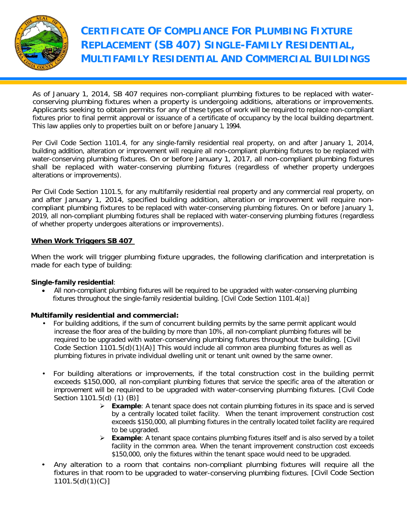

As of January 1, 2014, SB 407 requires non-compliant plumbing fixtures to be replaced with waterconserving plumbing fixtures when a property is undergoing additions, alterations or improvements. Applicants seeking to obtain permits for any of these types of work will be required to replace non-compliant fixtures prior to final permit approval or issuance of a certificate of occupancy by the local building department. This law applies only to properties built on or before January 1, 1994.

Per Civil Code Section 1101.4, for any single-family residential real property, on and after January 1, 2014, building addition, alteration or improvement will require all non-compliant plumbing fixtures to be replaced with water-conserving plumbing fixtures. On or before January 1, 2017, all non-compliant plumbing fixtures shall be replaced with water-conserving plumbing fixtures (regardless of whether property undergoes alterations or improvements).

Per Civil Code Section 1101.5, for any multifamily residential real property and any commercial real property, on and after January 1, 2014, specified building addition, alteration or improvement will require noncompliant plumbing fixtures to be replaced with water-conserving plumbing fixtures. On or before January 1, 2019, all non-compliant plumbing fixtures shall be replaced with water-conserving plumbing fixtures (regardless of whether property undergoes alterations or improvements).

#### **When Work Triggers SB 407**

When the work will trigger plumbing fixture upgrades, the following clarification and interpretation is made for each type of building:

#### **Single-family residential**:

• All non-compliant plumbing fixtures will be required to be upgraded with water-conserving plumbing fixtures throughout the single-family residential building. [Civil Code Section 1101.4(a)]

#### **Multifamily residential and commercial:**

- For building additions, if the sum of concurrent building permits by the same permit applicant would increase the floor area of the building by more than 10%, all non-compliant plumbing fixtures will be required to be upgraded with water-conserving plumbing fixtures throughout the building. [Civil Code Section 1101.5(d)(1)(A)] This would include all common area plumbing fixtures as well as plumbing fixtures in private individual dwelling unit or tenant unit owned by the same owner.
- For building alterations or improvements, if the total construction cost in the building permit exceeds \$150,000, all non-compliant plumbing fixtures that service the specific area of the alteration or improvement will be required to be upgraded with water-conserving plumbing fixtures. [Civil Code Section 1101.5(d) (1) (B)]
	- **Example**: A tenant space does not contain plumbing fixtures in its space and is served by a centrally located toilet facility. When the tenant improvement construction cost exceeds \$150,000, all plumbing fixtures in the centrally located toilet facility are required to be upgraded.
	- **Example**: A tenant space contains plumbing fixtures itself and is also served by a toilet facility in the common area. When the tenant improvement construction cost exceeds \$150,000, only the fixtures within the tenant space would need to be upgraded.
- Any alteration to a room that contains non-compliant plumbing fixtures will require all the fixtures in that room to be upgraded to water-conserving plumbing fixtures. [Civil Code Section 1101.5(d)(1)(C)]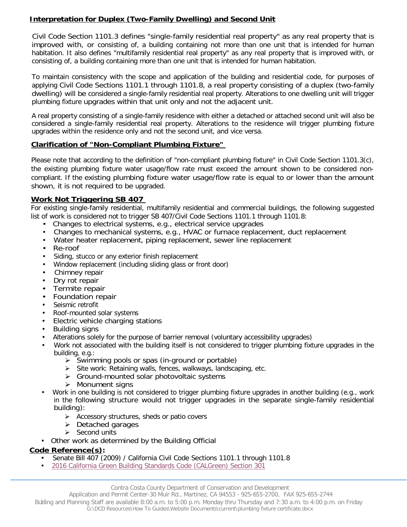### **Interpretation for Duplex (Two-Family Dwelling) and Second Unit**

Civil Code Section 1101.3 defines "single-family residential real property" as any real property that is improved with, or consisting of, a building containing not more than one unit that is intended for human habitation. It also defines "multifamily residential real property" as any real property that is improved with, or consisting of, a building containing more than one unit that is intended for human habitation.

To maintain consistency with the scope and application of the building and residential code, for purposes of applying Civil Code Sections 1101.1 through 1101.8, a real property consisting of a duplex (two-family dwelling) will be considered a single-family residential real property. Alterations to one dwelling unit will trigger plumbing fixture upgrades within that unit only and not the adjacent unit.

A real property consisting of a single-family residence with either a detached or attached second unit will also be considered a single-family residential real property. Alterations to the residence will trigger plumbing fixture upgrades within the residence only and not the second unit, and vice versa.

#### **Clarification of "Non-Compliant Plumbing Fixture"**

Please note that according to the definition of "non-compliant plumbing fixture" in Civil Code Section 1101.3(c), the existing plumbing fixture water usage/flow rate must exceed the amount shown to be considered noncompliant. If the existing plumbing fixture water usage/flow rate is equal to or lower than the amount shown, it is not required to be upgraded.

#### **Work Not Triggering SB 407**

For existing single-family residential, multifamily residential and commercial buildings, the following suggested list of work is considered not to trigger SB 407/Civil Code Sections 1101.1 through 1101.8:

- Changes to electrical systems, e.g., electrical service upgrades
- Changes to mechanical systems, e.g., HVAC or furnace replacement, duct replacement
- Water heater replacement, piping replacement, sewer line replacement
- Re-roof
- Siding, stucco or any exterior finish replacement
- Window replacement (including sliding glass or front door)
- Chimney repair
- Dry rot repair<br>• Termite repa
- Termite repair
- Foundation repair
- Seismic retrofit
- Roof-mounted solar systems
- Electric vehicle charging stations
- Building signs
- Alterations solely for the purpose of barrier removal (voluntary accessibility upgrades)
- Work not associated with the building itself is not considered to trigger plumbing fixture upgrades in the building, e.g.:
	- $\triangleright$  Swimming pools or spas (in-ground or portable)
	- $\triangleright$  Site work: Retaining walls, fences, walkways, landscaping, etc.
	- $\triangleright$  Ground-mounted solar photovoltaic systems
	- > Monument signs
- Work in one building is not considered to trigger plumbing fixture upgrades in another building (e.g., work in the following structure would not trigger upgrades in the separate single-family residential building):
	- $\triangleright$  Accessory structures, sheds or patio covers
	- $\triangleright$  Detached garages
	- $\triangleright$  Second units
- Other work as determined by the Building Official

#### **Code Reference(s):**

- Senate Bill 407 (2009) / California Civil Code Sections 1101.1 through 1101.8
- 2016 [California Green Building Standards Code \(CALGreen\) Section 301](https://www.ladbs.org/docs/default-source/publications/code-amendments/2016-calgreen_complete.pdf?sfvrsn=6)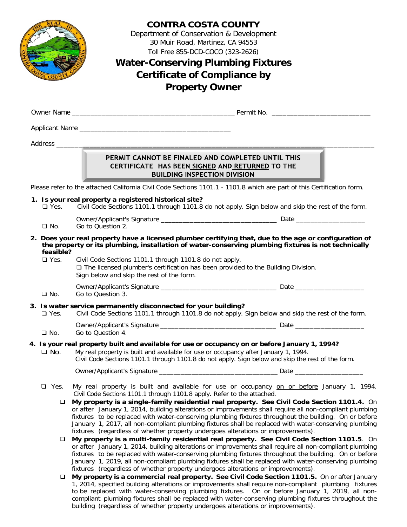

## **CONTRA COSTA COUNTY**

Department of Conservation & Development 30 Muir Road, Martinez, CA 94553 Toll Free 855-DCD-COCO (323-2626)

# **Water-Conserving Plumbing Fixtures Certificate of Compliance by Property Owner**

Owner Name \_\_\_\_\_\_\_\_\_\_\_\_\_\_\_\_\_\_\_\_\_\_\_\_\_\_\_\_\_\_\_\_\_\_\_\_\_\_\_\_\_\_\_\_ Permit No. \_\_\_\_\_\_\_\_\_\_\_\_\_\_\_\_\_\_\_\_\_\_\_\_\_\_\_

Applicant Name \_\_\_\_\_\_\_\_\_\_\_\_\_\_\_\_\_\_\_\_\_\_\_\_\_\_\_\_\_\_\_\_\_\_\_\_\_\_\_\_\_

Address \_\_\_\_\_\_\_\_\_\_\_\_\_\_\_\_\_\_\_\_\_\_\_\_\_\_\_\_\_\_\_\_\_\_\_\_\_\_\_\_\_\_\_\_\_\_\_\_\_\_\_\_\_\_\_\_\_\_\_\_\_\_\_\_\_\_\_\_\_\_\_\_\_\_\_\_\_\_\_\_\_\_\_\_\_\_

#### PERMIT CANNOT BE FINALED AND COMPLETED UNTIL THIS CERTIFICATE HAS BEEN SIGNED AND RETURNED TO THE **BUILDING INSPECTION DIVISION**

Please refer to the attached California Civil Code Sections 1101.1 - 1101.8 which are part of this Certification form.

- **1. Is your real property a registered historical site?**
	- ❑ Yes. Civil Code Sections 1101.1 through 1101.8 do not apply. Sign below and skip the rest of the form.
	- Owner/Applicant's Signature \_\_\_\_\_\_\_\_\_\_\_\_\_\_\_\_\_\_\_\_\_\_\_\_\_\_\_\_\_\_\_\_ Date \_\_\_\_\_\_\_\_\_\_\_\_\_\_\_\_\_\_\_
	- ❑ No. Go to Question 2.
- **2. Does your real property have a licensed plumber certifying that, due to the age or configuration of the property or its plumbing, installation of water-conserving plumbing fixtures is not technically feasible?**
	- ❑ Yes. Civil Code Sections 1101.1 through 1101.8 do not apply. ❑ The licensed plumber's certification has been provided to the Building Division. Sign below and skip the rest of the form.
		- Owner/Applicant's Signature \_\_\_\_\_\_\_\_\_\_\_\_\_\_\_\_\_\_\_\_\_\_\_\_\_\_\_\_\_\_\_\_ Date \_\_\_\_\_\_\_\_\_\_\_\_\_\_\_\_\_\_\_
	- ❑ No. Go to Question 3.

# **3. Is water service permanently disconnected for your building?**<br> **Q** Yes. Civil Code Sections 1101.1 through 1101.8 do not apply.

Civil Code Sections 1101.1 through 1101.8 do not apply. Sign below and skip the rest of the form.

Owner/Applicant's Signature \_\_\_\_\_\_\_\_\_\_\_\_\_\_\_\_\_\_\_\_\_\_\_\_\_\_\_\_\_\_\_\_ Date \_\_\_\_\_\_\_\_\_\_\_\_\_\_\_\_\_\_\_ ❑ No. Go to Question 4.

# **4. Is your real property built and available for use or occupancy on or before January 1, 1994?**

❑ No. My real property is built and available for use or occupancy after January 1, 1994. Civil Code Sections 1101.1 through 1101.8 do not apply. Sign below and skip the rest of the form.

Owner/Applicant's Signature example of the state of Date and Date and Date and Date and Date and Date and Date

- 
- □ Yes. My real property is built and available for use or occupancy on or before January 1, 1994. Civil Code Sections 1101.1 through 1101.8 apply. Refer to the attached.
	- ❑ **My property is a single-family residential real property. See Civil Code Section 1101.4.** On or after January 1, 2014, building alterations or improvements shall require all non-compliant plumbing fixtures to be replaced with water-conserving plumbing fixtures throughout the building. On or before January 1, 2017, all non-compliant plumbing fixtures shall be replaced with water-conserving plumbing fixtures (regardless of whether property undergoes alterations or improvements).
	- ❑ **My property is a multi-family residential real property. See Civil Code Section 1101.5**. On or after January 1, 2014, building alterations or improvements shall require all non-compliant plumbing fixtures to be replaced with water-conserving plumbing fixtures throughout the building. On or before January 1, 2019, all non-compliant plumbing fixtures shall be replaced with water-conserving plumbing fixtures (regardless of whether property undergoes alterations or improvements).
	- ❑ **My property is a commercial real property. See Civil Code Section 1101.5.** On or after January 1, 2014, specified building alterations or improvements shall require non-compliant plumbing fixtures to be replaced with water-conserving plumbing fixtures. On or before January 1, 2019, all noncompliant plumbing fixtures shall be replaced with water-conserving plumbing fixtures throughout the building (regardless of whether property undergoes alterations or improvements).